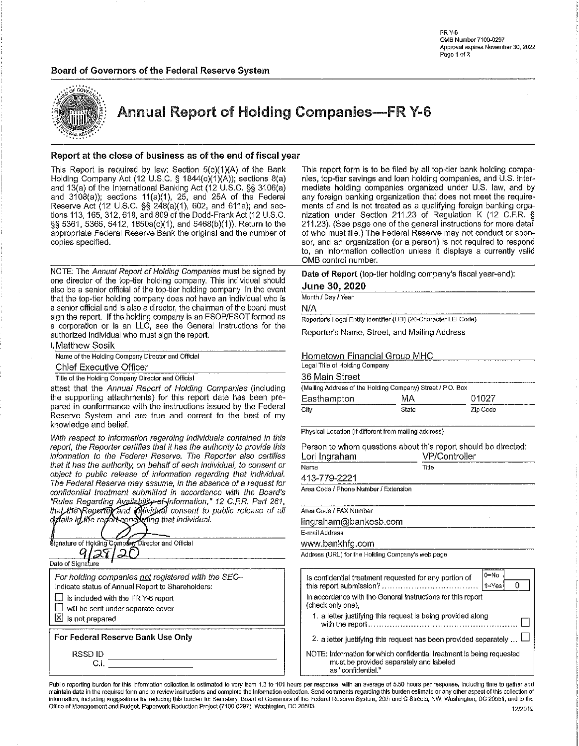### Board of Governors of the Federal Reserve System



| <b>COT GOVERNO</b><br>.org<br><b>ESER</b><br>$\mathcal{L}^{\mathcal{L}^{\bullet}}$ |
|------------------------------------------------------------------------------------|
|                                                                                    |
|                                                                                    |

**Annual Report of Holding Companies-FR Y-6** 

### Report at the close of business as of the end of fiscal year

This Report is required by law: Section 5(c)(1)(A) of the Bank<br>Holding Company Act (12 U.S.C. § 1844(c)(1)(A)); sections 8(a) and 13(a) of the International Banking Act (12 U.S.C. §§ 3106(a) and  $3108(a)$ ); sections  $11(a)(1)$ ,  $25$ , and  $25A$  of the Federal Reserve Act (12 U.S.C. §§ 248(a)(1), 602, and 611a); and sections 113, 165, 312, 618, and 809 of the Dodd-Frank Act (12 U.S.C. §§ 5361, 5365, 5412, 1850a(c)(1), and 5468(b)(1)). Return to the appropriate Federal Reserve Bank the original and the number of copies specified.

NOTE: The Annual Report of Holding Companies must be signed by one director of the top-tier holding company. This individual should also be a senior official of the top-tier holding company. In the event that the top-tier holding company does not have an individual who is a senior official and is also a director, the chairman of the board must sign the report. If the holding company is an ESOP/ESOT formed as a corporation or is an LLC, see the General Instructions for the authorized individual who must sign the report.

I. Matthew Sosik Name of the Holding Company Director and Official

**Chief Executive Officer** 

Title of the Holding Company Director and Official

attest that the Annual Report of Holding Companies (including the supporting attachments) for this report date has been prepared in conformance with the instructions issued by the Federal Reserve System and are true and correct to the best of my knowledge and belief.

With respect to information regarding individuals contained in this report, the Reporter certifies that it has the authority to provide this information to the Federal Reserve. The Reporter also certifies that it has the authority, on behalf of each individual, to consent or object to public release of information regarding that individual. The Federal Reserve may assume, in the absence of a request for confidential treatment submitted in accordance with the Board's "Rules Regarding Availability of Information," 12 C.F.R. Part 261, that the Report of and individual consent to public release of all definiti in the report concerning that individual.



This report form is to be filed by all top-tier bank holding companies, top-tier savings and loan holding companies, and U.S. intermediate holding companies organized under U.S. law, and by any foreign banking organization that does not meet the requirements of and is not treated as a qualifying foreign banking organization under Section 211.23 of Regulation K (12 C.F.R. § 211.23). (See page one of the general instructions for more detail of who must file.) The Federal Reserve may not conduct or sponsor, and an organization (or a person) is not required to respond to, an information collection unless it displays a currently valid OMB control number.

Date of Report (top-tier holding company's fiscal year-end):

### June 30, 2020

Month / Day / Year

N/A

Reporter's Legal Entity Identifier (LEI) (20-Character LEI Code)

Reporter's Name, Street, and Mailing Address

### Hometown Financial Group MHC

| Legal Title of Holding Company                             |       |          |  |  |  |  |  |
|------------------------------------------------------------|-------|----------|--|--|--|--|--|
| 36 Main Street                                             |       |          |  |  |  |  |  |
| (Mailing Address of the Holding Company) Street / P.O. Box |       |          |  |  |  |  |  |
| MA<br>01027<br>Easthampton                                 |       |          |  |  |  |  |  |
| City                                                       | State | Zio Code |  |  |  |  |  |

Physical Location (if different from mailing address)

Person to whom questions about this report should be directed:  $MDC_{\text{cutoff}}$ **I** and the countries of

| Lon muranam                          | VMOUTHORE |  |
|--------------------------------------|-----------|--|
| Name                                 | Title     |  |
| 413-779-2221                         |           |  |
| Area Code / Phone Number / Extension |           |  |
| Area Code / FAX Number               |           |  |
|                                      |           |  |

E-mail Address

www.bankhfg.com

Address (URL) for the Holding Company's web page

|                                                                                                                                        | 0=No<br>$1 = Y_{\theta S}$ |
|----------------------------------------------------------------------------------------------------------------------------------------|----------------------------|
| In accordance with the General Instructions for this report<br>(check only one),                                                       |                            |
| 1. a letter justifying this request is being provided along                                                                            |                            |
| 2. a letter justifying this request has been provided separately  I                                                                    |                            |
| NOTE: Information for which confidential treatment is being requested<br>must be provided separately and labeled<br>as "confidential." |                            |

Public reporting burden for this Information collection is estimated to vary from 1.3 to 101 hours per response, with an average of 5.50 hours per response, including time to gather and maintain data in the required form and to review instructions and complete the information collection. Send comments regarding this burden estimate or any other aspect of this collection of information, including suggestions for reducing this burden to: Secretary, Board of Governors of the Federal Reserve System, 20th and C Streets, NW, Washington, DC 20551, and to the Office of Management and Budget, Paperwork Reduction Project (7100-0297), Washington, DC 20503. 12/2019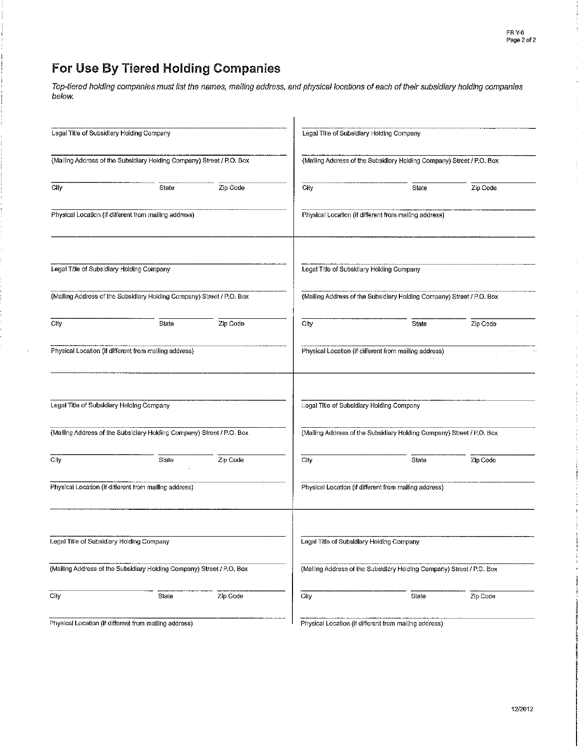J.

 $\bar{t}$ 

# For Use By Tiered Holding Companies

 $\sim$ 

Top-tiered holding companies must list the names, mailing address, and physical locations of each of their subsidiary holding companies below.

| Legal Title of Subsidiary Holding Company |                                                                       |          |      | Legal Title of Subsidiary Holding Company                             |          |
|-------------------------------------------|-----------------------------------------------------------------------|----------|------|-----------------------------------------------------------------------|----------|
|                                           | (Malling Address of the Subsidiary Holding Company) Street / P.O. Box |          |      | (Mailing Address of the Subsidiary Holding Company) Street / P.O. Box |          |
| City                                      | State                                                                 | Zip Code | City | State                                                                 | Zip Code |
|                                           | Physical Location (if different from mailing address)                 |          |      | Physical Location (if different from mailing address)                 |          |
| Legal Title of Subsidiary Holding Company |                                                                       |          |      | Legal Title of Subsidiary Holding Company                             |          |
|                                           | (Mailing Address of the Subsidlary Holding Company) Street / P.O. Box |          |      | (Mailing Address of the Subsidiary Holding Company) Street / P.O. Box |          |
| City                                      | State                                                                 | Zip Code | City | State                                                                 | Zip Code |
|                                           | Physical Location (if different from mailing address)                 |          |      | Physical Location (if different from mailing address)                 |          |
| Legal Title of Subsidiary Holding Company |                                                                       |          |      | Legal Title of Subsidiary Holding Company                             |          |
|                                           | (Mailing Address of the Subsidiary Holding Company) Street / P.O. Box |          |      | (Mailing Address of the Subsidiary Holding Company) Street / P.O. Box |          |
| City                                      | State                                                                 | Zip Code | City | State                                                                 | Zip Code |
|                                           | Physical Location (if different from mailing address)                 |          |      | Physical Location (if different from mailing address)                 |          |
| Legal Title of Subsidlary Holding Company |                                                                       |          |      | Legal Title of Subsidiary Holding Company                             |          |
|                                           | (Mailing Address of the Subsidiary Holding Company) Street / P.O. Box |          |      | (Malling Address of the Subsidiary Holding Company) Street / P.O. Box |          |
| City                                      | State                                                                 | Zip Code | City | State                                                                 | Zip Code |
|                                           | Physical Location (if different from mailing address)                 |          |      | Physical Location (if different from mailing address)                 |          |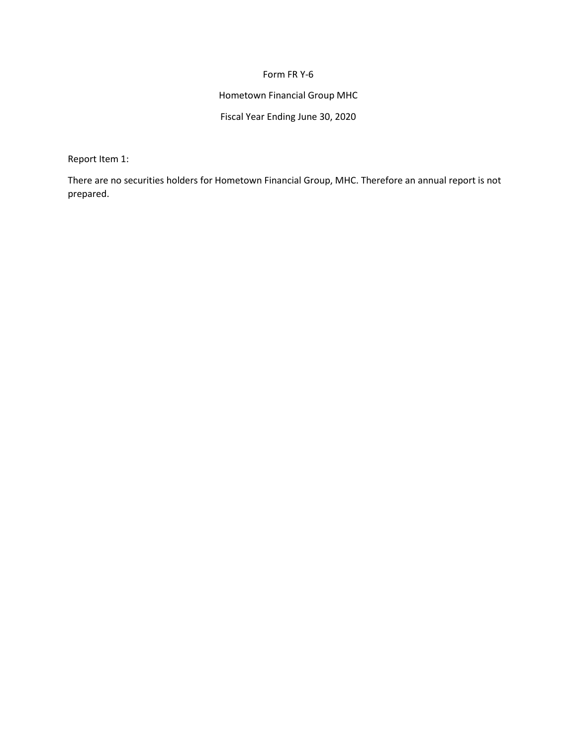### Form FR Y-6

# Hometown Financial Group MHC

# Fiscal Year Ending June 30, 2020

Report Item 1:

There are no securities holders for Hometown Financial Group, MHC. Therefore an annual report is not prepared.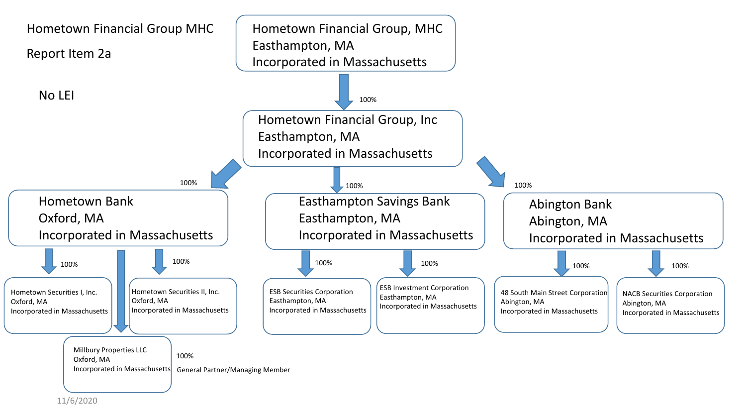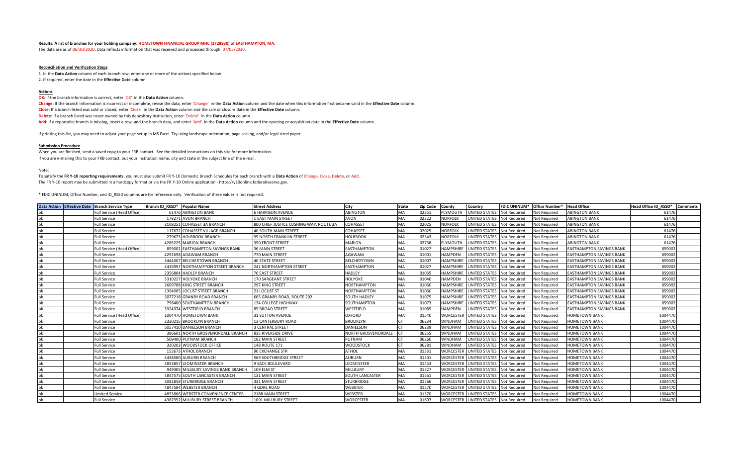#### **Results: A list of branches for your holding company: HOMETOWN FINANCIAL GROUP MHC (3728930) of EASTHAMPTON, MA.**

The data are as of 06/30/2020. Data reflects information that was received and processed through 07/05/2020.

#### **Reconciliation and Verification Steps**

1. In the **Data Action** column of each branch row, enter one or more of the actions specified below 2. If required, enter the date in the **Effective Date** column

#### **Actions**

#### **OK:** If the branch information is correct, enter 'OK' in the Data Action column.

**Change:** If the branch information is incorrect or incomplete, revise the data, enter 'Change' in the **Data Action** column and the date when this information first became valid in the **Effective Date** column. **Close:** If a branch listed was sold or closed, enter 'Close' in the **Data Action** column and the sale or closure date in the **Effective Date** column. **Delete:** If a branch listed was never owned by this depository institution, enter 'Delete' in the **Data Action** column. **Add:** If a reportable branch is missing, insert a row, add the branch data, and enter 'Add' in the **Data Action** column and the opening or acquisition date in the **Effective Date** column.

If printing this list, you may need to adjust your page setup in MS Excel. Try using landscape orientation, page scaling, and/or legal sized paper.

#### **Submission Procedure**

When you are finished, send a saved copy to your FRB contact. See the detailed instructions on this site for more information. If you are e-mailing this to your FRB contact, put your institution name, city and state in the subject line of the e-mail.

Note:

To satisfy the **FR Y-10 reporting requirements**, you must also submit FR Y-10 Domestic Branch Schedules for each branch with a **Data Action** of Change, Close, Delete, or Add. The FR Y-10 report may be submitted in a hardcopy format or via the FR Y-10 Online application - https://y10online.federalreserve.gov.

\* FDIC UNINUM, Office Number, and ID\_RSSD columns are for reference only. Verification of these values is not required.

|    | Data Action Effective Date Branch Service Type | Branch ID RSSD*<br><b>Popular Name</b>    | <b>Street Address</b>                   | City                | <b>State</b> | Zip Code County |                  | Country                              |                     | FDIC UNINUM* Office Number* | <b>Head Office</b>              | Head Office ID RSSD* | <b>Comments</b> |
|----|------------------------------------------------|-------------------------------------------|-----------------------------------------|---------------------|--------------|-----------------|------------------|--------------------------------------|---------------------|-----------------------------|---------------------------------|----------------------|-----------------|
|    | Full Service (Head Office)                     | 61476 ABINGTON BANK                       | <b>6 HARRISON AVENUE</b>                | <b>ABINGTON</b>     | <b>MA</b>    | 02351           | PLYMOUTH         | <b>JNITED STATES</b>                 | <b>Not Required</b> | <b>Not Required</b>         | <b>ABINGTON BANK</b>            | 61476                |                 |
|    | <b>Full Service</b>                            | 178271 AVON BRANCH                        | 1 EAST MAIN STREET                      | AVON                | MA           | 02322           | <b>NORFOLK</b>   | UNITED STATES Not Required           |                     | <b>Not Required</b>         | <b>ABINGTON BANK</b>            | 61476                |                 |
| ok | <b>Full Service</b>                            | 3108251 COHASSET 3A BRANCH                | 800 CHIEF JUSTICE CUSHING WAY, ROUTE 3A | COHASSET            | <b>MA</b>    | 02025           | <b>NORFOLK</b>   | UNITED STATES Not Required           |                     | <b>Not Required</b>         | <b>ABINGTON BANK</b>            | 61476                |                 |
| ok | <b>Full Service</b>                            | 117672 COHASSET VILLAGE BRANCH            | 40 SOUTH MAIN STREET                    | COHASSET            | <b>MA</b>    | 02025           | <b>NORFOLK</b>   | <b>JNITED STATES</b>                 | Not Required        | <b>Not Required</b>         | <b>ABINGTON BANK</b>            | 61476                |                 |
| ok | <b>Full Service</b>                            | 279673<br><b>HOLBROOK BRANCH</b>          | 95 NORTH FRANKLIN STREET                | HOLBROOK            | <b>MA</b>    | 02343           | <b>NORFOLK</b>   | <b>JNITED STATES</b>                 | <b>Not Required</b> | <b>Not Required</b>         | <b>ABINGTON BANK</b>            | 61476                |                 |
| ok | <b>Full Service</b>                            | 4285225 MARION BRANCH                     | <b>350 FRONT STREET</b>                 | <b>MARION</b>       | <b>MA</b>    | 02738           | PLYMOUTH         | <b>JNITED STATES</b>                 | <b>Not Required</b> | <b>Not Required</b>         | <b>ABINGTON BANK</b>            | 61476                |                 |
| ok | Full Service (Head Office)                     | 859002<br><b>EASTHAMPTON SAVINGS BANK</b> | <b>36 MAIN STREET</b>                   | EASTHAMPTON         | <b>MA</b>    | 01027           | <b>HAMPSHIRE</b> | <b>JNITED STATES</b>                 | <b>Not Required</b> | <b>Not Required</b>         | <b>EASTHAMPTON SAVINGS BANK</b> | 859002               |                 |
| ok | <b>Full Service</b>                            | 4292698 AGAWAM BRANCH                     | 770 MAIN STREET                         | AGAWAM              | <b>MA</b>    | 01001           | <b>HAMPDEN</b>   | <b>JNITED STATES</b>                 | Not Required        | <b>Not Required</b>         | <b>EASTHAMPTON SAVINGS BANK</b> | 859002               |                 |
|    | <b>Full Service</b>                            | 3444007<br><b>BELCHERTOWN BRANCH</b>      | <b>40 STATE STREET</b>                  | <b>BELCHERTOWN</b>  | <b>MA</b>    | 01007           | <b>HAMPSHIRE</b> | JNITED STATES                        | <b>Not Required</b> | <b>Not Required</b>         | <b>EASTHAMPTON SAVINGS BANK</b> | 859002               |                 |
| ok | <b>Full Service</b>                            | NORTHAMPTON STREET BRANCH<br>4436997      | 241 NORTHAMPTON STREET                  | <b>EASTHAMPTON</b>  | <b>MA</b>    | 01027           | <b>HAMPSHIRE</b> | <b>JNITED STATES</b> Not Required    |                     | <b>Not Required</b>         | <b>EASTHAMPTON SAVINGS BANK</b> | 859002               |                 |
| ok | <b>Full Service</b>                            | 2356804<br>HADLEY BRANCH                  | 70 EAST STREET                          | <b>HADLEY</b>       | <b>MA</b>    | 01035           | <b>HAMPSHIRE</b> | JNITED STATES                        | <b>Not Required</b> | <b>Not Required</b>         | <b>EASTHAMPTON SAVINGS BANK</b> | 859002               |                 |
| ok | <b>Full Service</b>                            | <b>HOLYOKE BRANCH</b><br>5310227          | 170 SARGEANT STREET                     | HOLYOKE             | <b>MA</b>    | 01040           | <b>HAMPDEN</b>   | <b>JNITED STATES</b>                 | Not Required        | <b>Not Required</b>         | <b>EASTHAMPTON SAVINGS BANK</b> | 859002               |                 |
| ok | <b>Full Service</b>                            | 2609788 KING STREET BRANCH                | 297 KING STREET                         | NORTHAMPTON         | <b>MA</b>    | 01060           | <b>HAMPSHIRE</b> | <b>JNITED STATES</b> Not Required    |                     | <b>Not Required</b>         | <b>EASTHAMPTON SAVINGS BANK</b> | 859002               |                 |
| ok | <b>Full Service</b>                            | <b>LOCUST STREET BRANCH</b><br>1394005    | 21 LOCUST ST                            | <b>NORTHAMPTON</b>  | <b>MA</b>    | 01060           | <b>HAMPSHIRE</b> | JNITED STATES                        | <b>Not Required</b> | <b>Not Required</b>         | <b>EASTHAMPTON SAVINGS BANK</b> | 859002               |                 |
| ok | Full Service                                   | 3077218<br><b>GRANBY ROAD BRANCH</b>      | 605 GRANBY ROAD, ROUTE 202              | <b>SOUTH HADLEY</b> | MA           | 01075           | <b>HAMPSHIRE</b> | UNITED STATES Not Required           |                     | <b>Not Required</b>         | EASTHAMPTON SAVINGS BANK        | 859002               |                 |
| ok | <b>Full Service</b>                            | 798400<br>SOUTHAMPTON BRANCH              | 134 COLLEGE HIGHWAY                     | SOUTHAMPTON         | <b>MA</b>    | 01073           | <b>HAMPSHIRE</b> | <b>JNITED STATES</b>                 | <b>Not Required</b> | <b>Not Required</b>         | <b>EASTHAMPTON SAVINGS BANK</b> | 859002               |                 |
| ok | <b>Full Service</b>                            | 3924974 WESTFIELD BRANCH                  | 85 BROAD STREET                         | WESTFIELD           | <b>MA</b>    | 01085           | <b>HAMPDEN</b>   | <b>JNITED STATES</b>                 | Not Required        | <b>Not Required</b>         | <b>EASTHAMPTON SAVINGS BANK</b> | 859002               |                 |
| ok | Full Service (Head Office)                     | 1004470<br><b>HOMETOWN BANK</b>           | <b>31 SUTTON AVENUE</b>                 | <b>OXFORD</b>       | MA           | 01540           | WORCEST          | <b>JNITED STATES</b>                 | Not Required        | <b>Not Required</b>         | <b>HOMETOWN BANK</b>            | 1004470              |                 |
| ok | <b>Full Service</b>                            | 2330215<br><b>BROOKLYN BRANCH</b>         | <b>13 CANTERBURY ROAD</b>               | <b>BROOKLYN</b>     |              | 06234           | <b>WINDHAM</b>   | <b>JNITED STATES</b>                 | Not Required        | Not Required                | <b>HOMETOWN BANK</b>            | 1004470              |                 |
| ok | <b>Full Service</b>                            | 5057410<br><b>DANIELSON BRANCH</b>        | <b>3 CENTRAL STREET</b>                 | DANIELSON           |              | 06239           | <b>NINDHAM</b>   | <b>INITED STATES</b>                 | Not Required        | <b>Not Required</b>         | <b>HOMETOWN BANK</b>            | 1004470              |                 |
| ok | <b>Full Service</b>                            | 386601 NORTH GROSVENORDALE BRANCH         | 835 RIVERSIDE DRIVE                     | NORTH GROSVENORDALE |              | 06255           | <b>WINDHAM</b>   | JNITED STATES Not Required           |                     | <b>Not Required</b>         | <b>HOMETOWN BANK</b>            | 1004470              |                 |
| ok | <b>Full Service</b>                            | 509400 PUTNAM BRANCH                      | 182 MAIN STREET                         | PUTNAM              |              | 06260           | WINDHAM          | JNITED STATES                        | Not Required        | <b>Not Required</b>         | <b>HOMETOWN BANK</b>            | 1004470              |                 |
| ok | <b>Full Service</b>                            | 320203 WOODSTOCK OFFICE                   | 148 ROUTE 171                           | <b>WOODSTOCK</b>    |              | 0628:           | <b>WINDHAM</b>   | <b>INITED STATES</b>                 | <b>Not Required</b> | <b>Not Required</b>         | <b>HOMETOWN BANK</b>            | 1004470              |                 |
|    | <b>Full Service</b>                            | 152673 ATHOL BRANCH                       | <b>90 EXCHANGE STR</b>                  | <b>ATHOL</b>        | <b>MA</b>    | 01331           | <b>WORCESTE</b>  | UNITED STATES Not Required           |                     | <b>Not Required</b>         | <b>HOMETOWN BANK</b>            | 1004470              |                 |
| ok | Full Service                                   | <b>AUBURN BRANCH</b><br>4438580           | 569 SOUTHBRIDGE STREET                  | AUBURN              | MA           | 01501           | <b>WORCESTE</b>  | UNITED STATES Not Required           |                     | <b>Not Required</b>         | <b>HOMETOWN BANK</b>            | 1004470              |                 |
| ok | Full Service                                   | LEOMINSTER BRANCH<br>4853857              | 9 SACK BOULEVARD                        | LEOMINSTER          | <b>MA</b>    | 01453           | WORCESTI         | UNITED STATES                        | Not Required        | <b>Not Required</b>         | <b>HOMETOWN BANK</b>            | 1004470              |                 |
| ok | <b>Full Service</b>                            | 949305<br>MILLBURY SAVINGS BANK BRANCH    | 109 ELM ST                              | <b>MILLBURY</b>     | <b>MA</b>    | 01527           | WORCESTE         | <b>JNITED STATES</b>                 | Not Required        | <b>Not Required</b>         | <b>HOMETOWN BANK</b>            | 1004470              |                 |
| ok | <b>Full Service</b>                            | 4847575 SOUTH LANCASTER BRANCH            | 131 MAIN STREET                         | SOUTH LANCASTER     | MA           | 01561           | <b>WORCESTER</b> | UNITED STATES                        | Not Required        | <b>Not Required</b>         | <b>HOMETOWN BANK</b>            | 1004470              |                 |
| ok | <b>Full Service</b>                            | 3081859<br>STURBRIDGE BRANCH              | 331 MAIN STREET                         | STURBRIDGE          | <b>MA</b>    | 01566           | WORCESTE         | UNITED STATES                        | Not Required        | <b>Not Required</b>         | <b>HOMETOWN BANK</b>            | 1004470              |                 |
| ok | <b>Full Service</b>                            | 4847584 WEBSTER BRANCH                    | <b>4 GORE ROAD</b>                      | <b>WEBSTER</b>      | <b>MA</b>    | 01570           | <b>WORCESTE</b>  | UNITED STATES                        | Not Required        | <b>Not Required</b>         | <b>HOMETOWN BANK</b>            | 1004470              |                 |
|    | <b>Limited Service</b>                         | 4853866 WEBSTER CONVENIENCE CENTER        | 218R MAIN STREET                        | WEBSTER             | MA           | 01570           | WORCESTI         | UNITED STATES                        | Not Required        | <b>Not Required</b>         | <b>HOMETOWN BANK</b>            | 1004470              |                 |
|    | <b>Full Service</b>                            | 4367952 MILLBURY STREET BRANCH            | 1001 MILLBURY STREET                    | <b>WORCESTER</b>    | <b>MA</b>    | 01607           |                  | WORCESTER UNITED STATES Not Required |                     | Not Required                | <b>HOMETOWN BANK</b>            | 1004470              |                 |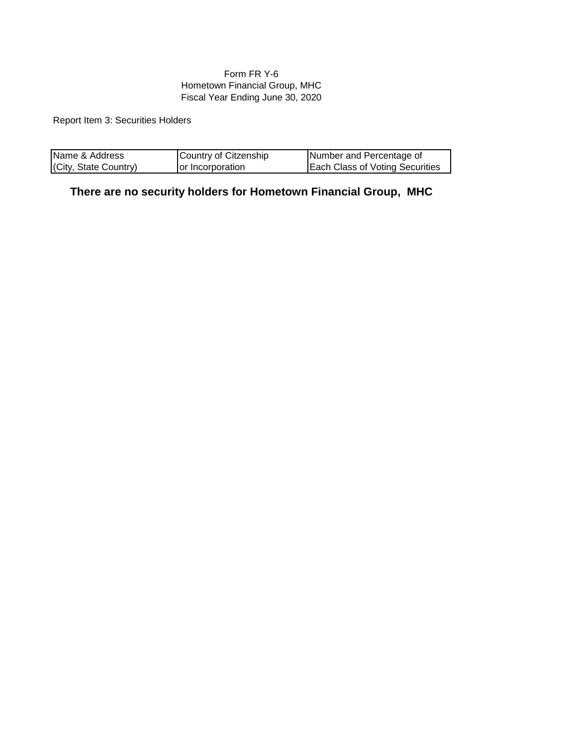# Form FR Y-6 Hometown Financial Group, MHC Fiscal Year Ending June 30, 2020

Report Item 3: Securities Holders

| Name & Address        | Country of Citzenship | Number and Percentage of               |
|-----------------------|-----------------------|----------------------------------------|
| (City, State Country) | or Incorporation      | <b>Each Class of Voting Securities</b> |

**There are no security holders for Hometown Financial Group, MHC**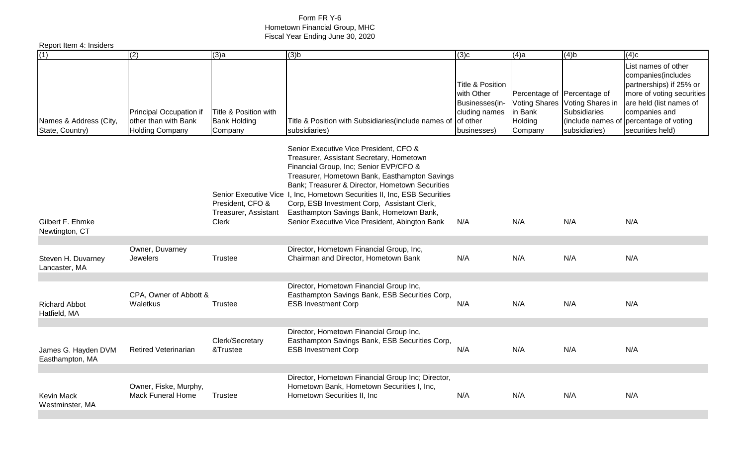# Form FR Y-6 Hometown Financial Group, MHC Fiscal Year Ending June 30, 2020

| Report Item 4: Insiders                   |                                                                           |                                                         |                                                                                                                                                                                                                                                                                                                                                                                                                                                            |                                                                                  |                                                                        |                                                                                                |                                                                                                                                                                                           |
|-------------------------------------------|---------------------------------------------------------------------------|---------------------------------------------------------|------------------------------------------------------------------------------------------------------------------------------------------------------------------------------------------------------------------------------------------------------------------------------------------------------------------------------------------------------------------------------------------------------------------------------------------------------------|----------------------------------------------------------------------------------|------------------------------------------------------------------------|------------------------------------------------------------------------------------------------|-------------------------------------------------------------------------------------------------------------------------------------------------------------------------------------------|
| (1)                                       | (2)                                                                       | (3)a                                                    | (3)b                                                                                                                                                                                                                                                                                                                                                                                                                                                       | (3)c                                                                             | $(4)$ a                                                                | $(4)$ <sub>b</sub>                                                                             | (4)c                                                                                                                                                                                      |
| Names & Address (City,<br>State, Country) | Principal Occupation if<br>other than with Bank<br><b>Holding Company</b> | Title & Position with<br><b>Bank Holding</b><br>Company | Title & Position with Subsidiaries (include names of of other<br>subsidiaries)                                                                                                                                                                                                                                                                                                                                                                             | Title & Position<br>with Other<br>Businesses(in-<br>cluding names<br>businesses) | Percentage of<br><b>Voting Shares</b><br>in Bank<br>Holding<br>Company | Percentage of<br>Voting Shares in<br><b>Subsidiaries</b><br>(include names of<br>subsidiaries) | List names of other<br>companies(includes<br>partnerships) if 25% or<br>more of voting securities<br>are held (list names of<br>companies and<br>percentage of voting<br>securities held) |
| Gilbert F. Ehmke<br>Newtington, CT        |                                                                           | President, CFO &<br>Treasurer, Assistant<br>Clerk       | Senior Executive Vice President, CFO &<br>Treasurer, Assistant Secretary, Hometown<br>Financial Group, Inc; Senior EVP/CFO &<br>Treasurer, Hometown Bank, Easthampton Savings<br>Bank; Treasurer & Director, Hometown Securities<br>Senior Executive Vice 1, Inc, Hometown Securities II, Inc, ESB Securities<br>Corp, ESB Investment Corp, Assistant Clerk,<br>Easthampton Savings Bank, Hometown Bank,<br>Senior Executive Vice President, Abington Bank | N/A                                                                              | N/A                                                                    | N/A                                                                                            | N/A                                                                                                                                                                                       |
|                                           |                                                                           |                                                         |                                                                                                                                                                                                                                                                                                                                                                                                                                                            |                                                                                  |                                                                        |                                                                                                |                                                                                                                                                                                           |
| Steven H. Duvarney<br>Lancaster, MA       | Owner, Duvarney<br><b>Jewelers</b>                                        | Trustee                                                 | Director, Hometown Financial Group, Inc,<br>Chairman and Director, Hometown Bank                                                                                                                                                                                                                                                                                                                                                                           | N/A                                                                              | N/A                                                                    | N/A                                                                                            | N/A                                                                                                                                                                                       |
|                                           |                                                                           |                                                         |                                                                                                                                                                                                                                                                                                                                                                                                                                                            |                                                                                  |                                                                        |                                                                                                |                                                                                                                                                                                           |
| <b>Richard Abbot</b><br>Hatfield, MA      | CPA, Owner of Abbott &<br>Waletkus                                        | Trustee                                                 | Director, Hometown Financial Group Inc,<br>Easthampton Savings Bank, ESB Securities Corp,<br><b>ESB Investment Corp</b>                                                                                                                                                                                                                                                                                                                                    | N/A                                                                              | N/A                                                                    | N/A                                                                                            | N/A                                                                                                                                                                                       |
| James G. Hayden DVM<br>Easthampton, MA    | <b>Retired Veterinarian</b>                                               | Clerk/Secretary<br>&Trustee                             | Director, Hometown Financial Group Inc,<br>Easthampton Savings Bank, ESB Securities Corp,<br><b>ESB Investment Corp</b>                                                                                                                                                                                                                                                                                                                                    | N/A                                                                              | N/A                                                                    | N/A                                                                                            | N/A                                                                                                                                                                                       |
| <b>Kevin Mack</b><br>Westminster, MA      | Owner, Fiske, Murphy,<br><b>Mack Funeral Home</b>                         | Trustee                                                 | Director, Hometown Financial Group Inc; Director,<br>Hometown Bank, Hometown Securities I, Inc,<br>Hometown Securities II, Inc.                                                                                                                                                                                                                                                                                                                            | N/A                                                                              | N/A                                                                    | N/A                                                                                            | N/A                                                                                                                                                                                       |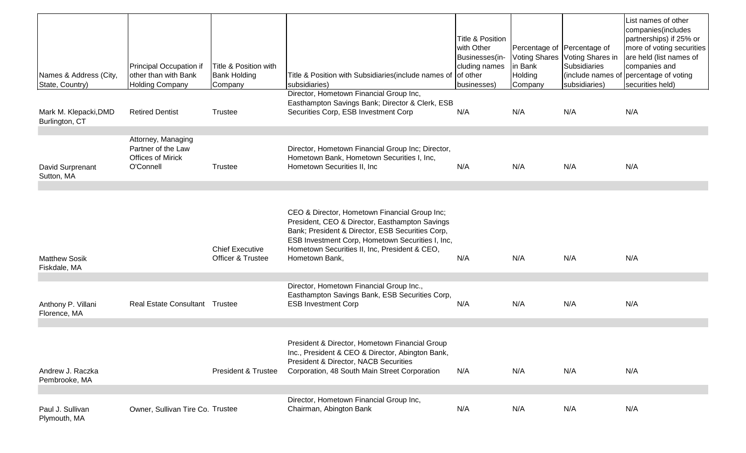| Names & Address (City,<br>State, Country) | Principal Occupation if<br>other than with Bank<br><b>Holding Company</b>         | Title & Position with<br><b>Bank Holding</b><br>Company | Title & Position with Subsidiaries (include names of<br>subsidiaries)                                                                                                                                                                                                      | <b>Title &amp; Position</b><br>with Other<br>Businesses(in-<br>cluding names<br>of other<br>businesses) | Percentage of Percentage of<br><b>Voting Shares</b><br>in Bank<br>Holding<br>Company | Voting Shares in<br>Subsidiaries<br>(include names of<br>subsidiaries) | List names of other<br>companies(includes<br>partnerships) if 25% or<br>more of voting securities<br>are held (list names of<br>companies and<br>percentage of voting<br>securities held) |
|-------------------------------------------|-----------------------------------------------------------------------------------|---------------------------------------------------------|----------------------------------------------------------------------------------------------------------------------------------------------------------------------------------------------------------------------------------------------------------------------------|---------------------------------------------------------------------------------------------------------|--------------------------------------------------------------------------------------|------------------------------------------------------------------------|-------------------------------------------------------------------------------------------------------------------------------------------------------------------------------------------|
| Mark M. Klepacki, DMD<br>Burlington, CT   | <b>Retired Dentist</b>                                                            | Trustee                                                 | Director, Hometown Financial Group Inc,<br>Easthampton Savings Bank; Director & Clerk, ESB<br>Securities Corp, ESB Investment Corp                                                                                                                                         | N/A                                                                                                     | N/A                                                                                  | N/A                                                                    | N/A                                                                                                                                                                                       |
| David Surprenant<br>Sutton, MA            | Attorney, Managing<br>Partner of the Law<br><b>Offices of Mirick</b><br>O'Connell | Trustee                                                 | Director, Hometown Financial Group Inc; Director,<br>Hometown Bank, Hometown Securities I, Inc,<br>Hometown Securities II, Inc.                                                                                                                                            | N/A                                                                                                     | N/A                                                                                  | N/A                                                                    | N/A                                                                                                                                                                                       |
| <b>Matthew Sosik</b><br>Fiskdale, MA      |                                                                                   | <b>Chief Executive</b><br>Officer & Trustee             | CEO & Director, Hometown Financial Group Inc;<br>President, CEO & Director, Easthampton Savings<br>Bank; President & Director, ESB Securities Corp,<br>ESB Investment Corp, Hometown Securities I, Inc,<br>Hometown Securities II, Inc, President & CEO,<br>Hometown Bank, | N/A                                                                                                     | N/A                                                                                  | N/A                                                                    | N/A                                                                                                                                                                                       |
| Anthony P. Villani<br>Florence, MA        | Real Estate Consultant Trustee                                                    |                                                         | Director, Hometown Financial Group Inc.,<br>Easthampton Savings Bank, ESB Securities Corp,<br><b>ESB Investment Corp</b>                                                                                                                                                   | N/A                                                                                                     | N/A                                                                                  | N/A                                                                    | N/A                                                                                                                                                                                       |
| Andrew J. Raczka<br>Pembrooke, MA         |                                                                                   | President & Trustee                                     | President & Director, Hometown Financial Group<br>Inc., President & CEO & Director, Abington Bank,<br>President & Director, NACB Securities<br>Corporation, 48 South Main Street Corporation                                                                               | N/A                                                                                                     | N/A                                                                                  | N/A                                                                    | N/A                                                                                                                                                                                       |
| Paul J. Sullivan<br>Plymouth, MA          | Owner, Sullivan Tire Co. Trustee                                                  |                                                         | Director, Hometown Financial Group Inc,<br>Chairman, Abington Bank                                                                                                                                                                                                         | N/A                                                                                                     | N/A                                                                                  | N/A                                                                    | N/A                                                                                                                                                                                       |